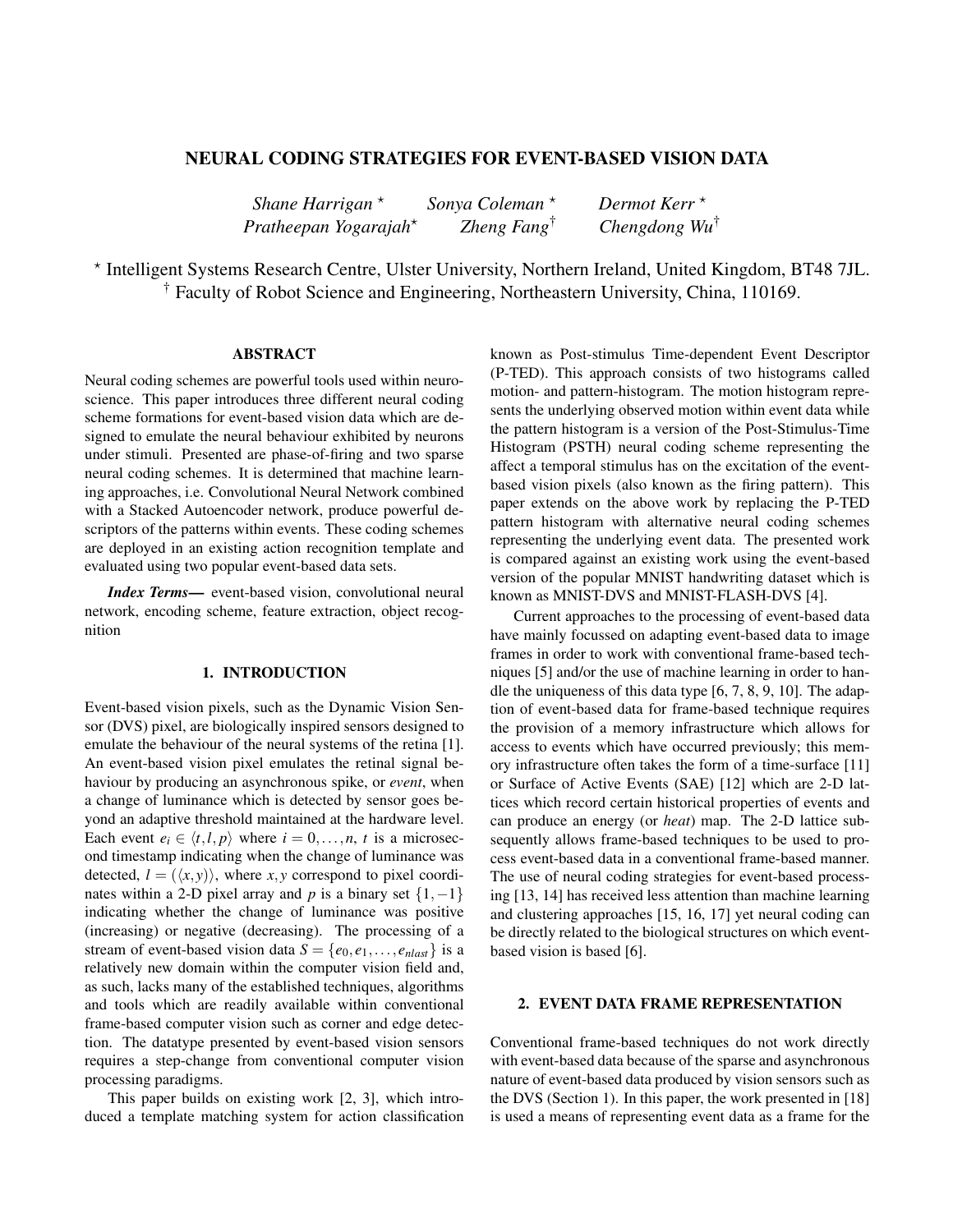# NEURAL CODING STRATEGIES FOR EVENT-BASED VISION DATA

| Shane Harrigan $*$                | Sonya Coleman $*$       | Dermot Kerr $\star$      |
|-----------------------------------|-------------------------|--------------------------|
| Pratheepan Yogarajah <sup>*</sup> | Zheng Fang <sup>†</sup> | Chengdong $Wu^{\dagger}$ |

? Intelligent Systems Research Centre, Ulster University, Northern Ireland, United Kingdom, BT48 7JL. † Faculty of Robot Science and Engineering, Northeastern University, China, 110169.

### ABSTRACT

Neural coding schemes are powerful tools used within neuroscience. This paper introduces three different neural coding scheme formations for event-based vision data which are designed to emulate the neural behaviour exhibited by neurons under stimuli. Presented are phase-of-firing and two sparse neural coding schemes. It is determined that machine learning approaches, i.e. Convolutional Neural Network combined with a Stacked Autoencoder network, produce powerful descriptors of the patterns within events. These coding schemes are deployed in an existing action recognition template and evaluated using two popular event-based data sets.

*Index Terms*— event-based vision, convolutional neural network, encoding scheme, feature extraction, object recognition

#### 1. INTRODUCTION

Event-based vision pixels, such as the Dynamic Vision Sensor (DVS) pixel, are biologically inspired sensors designed to emulate the behaviour of the neural systems of the retina [1]. An event-based vision pixel emulates the retinal signal behaviour by producing an asynchronous spike, or *event*, when a change of luminance which is detected by sensor goes beyond an adaptive threshold maintained at the hardware level. Each event  $e_i \in \langle t, l, p \rangle$  where  $i = 0, \ldots, n, t$  is a microsecond timestamp indicating when the change of luminance was detected,  $l = (\langle x, y \rangle)$ , where *x*, *y* correspond to pixel coordinates within a 2-D pixel array and *p* is a binary set  $\{1, -1\}$ indicating whether the change of luminance was positive (increasing) or negative (decreasing). The processing of a stream of event-based vision data  $S = \{e_0, e_1, \ldots, e_{n\alpha t}\}$  is a relatively new domain within the computer vision field and, as such, lacks many of the established techniques, algorithms and tools which are readily available within conventional frame-based computer vision such as corner and edge detection. The datatype presented by event-based vision sensors requires a step-change from conventional computer vision processing paradigms.

This paper builds on existing work [2, 3], which introduced a template matching system for action classification known as Post-stimulus Time-dependent Event Descriptor (P-TED). This approach consists of two histograms called motion- and pattern-histogram. The motion histogram represents the underlying observed motion within event data while the pattern histogram is a version of the Post-Stimulus-Time Histogram (PSTH) neural coding scheme representing the affect a temporal stimulus has on the excitation of the eventbased vision pixels (also known as the firing pattern). This paper extends on the above work by replacing the P-TED pattern histogram with alternative neural coding schemes representing the underlying event data. The presented work is compared against an existing work using the event-based version of the popular MNIST handwriting dataset which is known as MNIST-DVS and MNIST-FLASH-DVS [4].

Current approaches to the processing of event-based data have mainly focussed on adapting event-based data to image frames in order to work with conventional frame-based techniques [5] and/or the use of machine learning in order to handle the uniqueness of this data type [6, 7, 8, 9, 10]. The adaption of event-based data for frame-based technique requires the provision of a memory infrastructure which allows for access to events which have occurred previously; this memory infrastructure often takes the form of a time-surface [11] or Surface of Active Events (SAE) [12] which are 2-D lattices which record certain historical properties of events and can produce an energy (or *heat*) map. The 2-D lattice subsequently allows frame-based techniques to be used to process event-based data in a conventional frame-based manner. The use of neural coding strategies for event-based processing [13, 14] has received less attention than machine learning and clustering approaches [15, 16, 17] yet neural coding can be directly related to the biological structures on which eventbased vision is based [6].

### 2. EVENT DATA FRAME REPRESENTATION

Conventional frame-based techniques do not work directly with event-based data because of the sparse and asynchronous nature of event-based data produced by vision sensors such as the DVS (Section 1). In this paper, the work presented in [18] is used a means of representing event data as a frame for the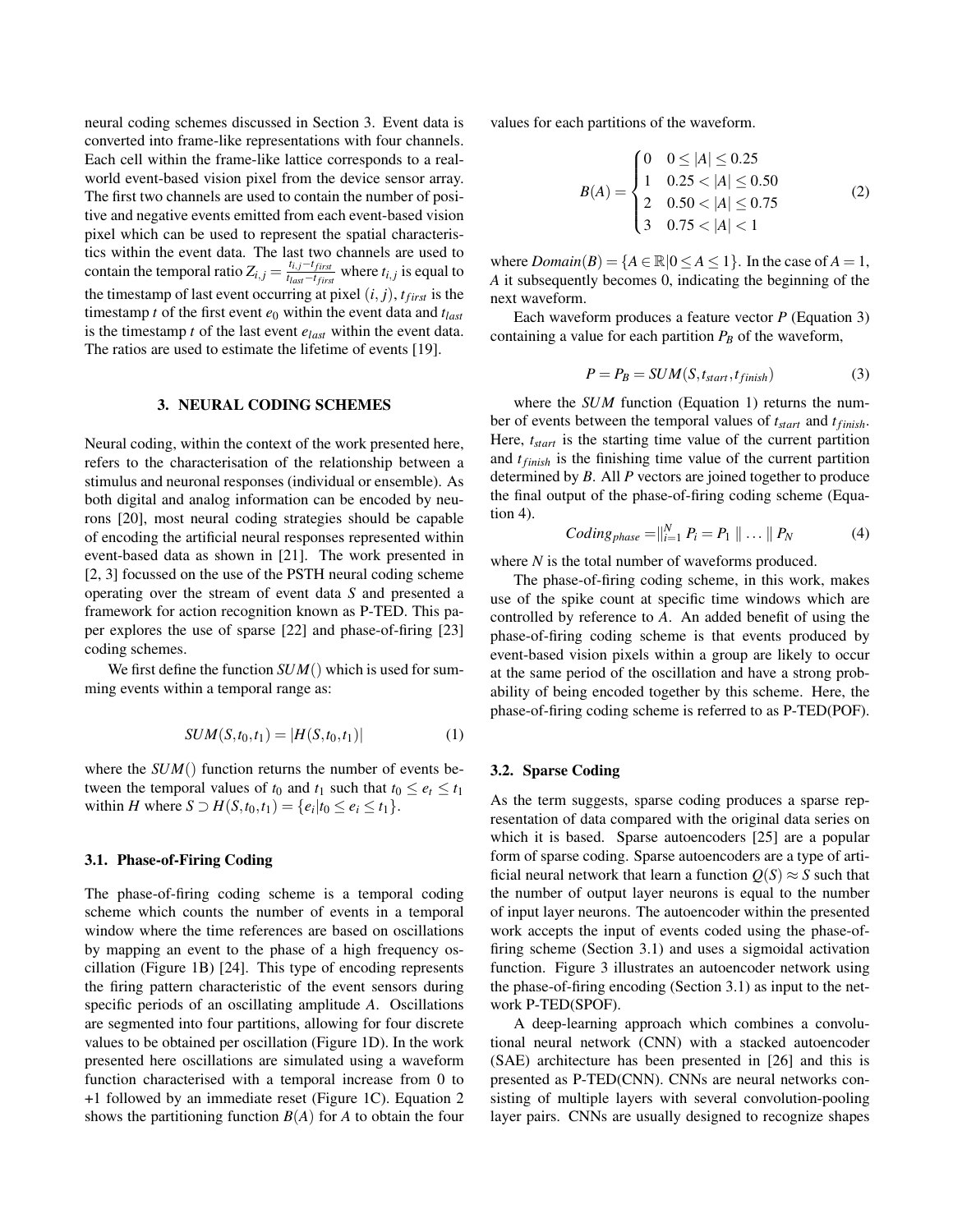neural coding schemes discussed in Section 3. Event data is converted into frame-like representations with four channels. Each cell within the frame-like lattice corresponds to a realworld event-based vision pixel from the device sensor array. The first two channels are used to contain the number of positive and negative events emitted from each event-based vision pixel which can be used to represent the spatial characteristics within the event data. The last two channels are used to contain the temporal ratio  $Z_{i,j} = \frac{t_{i,j} - t_{first}}{t_{i} - t_{first}}$  $\frac{t_{i,j}-t_{first}}{t_{last}-t_{first}}$  where  $t_{i,j}$  is equal to the timestamp of last event occurring at pixel  $(i, j)$ ,  $t_{first}$  is the timestamp *t* of the first event *e*<sup>0</sup> within the event data and *tlast* is the timestamp *t* of the last event *elast* within the event data. The ratios are used to estimate the lifetime of events [19].

#### 3. NEURAL CODING SCHEMES

Neural coding, within the context of the work presented here, refers to the characterisation of the relationship between a stimulus and neuronal responses (individual or ensemble). As both digital and analog information can be encoded by neurons [20], most neural coding strategies should be capable of encoding the artificial neural responses represented within event-based data as shown in [21]. The work presented in [2, 3] focussed on the use of the PSTH neural coding scheme operating over the stream of event data *S* and presented a framework for action recognition known as P-TED. This paper explores the use of sparse [22] and phase-of-firing [23] coding schemes.

We first define the function *SUM*() which is used for summing events within a temporal range as:

$$
SUM(S, t_0, t_1) = |H(S, t_0, t_1)| \tag{1}
$$

where the *SUM*() function returns the number of events between the temporal values of  $t_0$  and  $t_1$  such that  $t_0 \leq e_t \leq t_1$ *within <i>H* where *S* ⊃ *H*(*S*,*t*<sub>0</sub>,*t*<sub>1</sub>) = { $e_i | t_0 ≤ e_i ≤ t_1$ }.

#### 3.1. Phase-of-Firing Coding

The phase-of-firing coding scheme is a temporal coding scheme which counts the number of events in a temporal window where the time references are based on oscillations by mapping an event to the phase of a high frequency oscillation (Figure 1B) [24]. This type of encoding represents the firing pattern characteristic of the event sensors during specific periods of an oscillating amplitude *A*. Oscillations are segmented into four partitions, allowing for four discrete values to be obtained per oscillation (Figure 1D). In the work presented here oscillations are simulated using a waveform function characterised with a temporal increase from 0 to +1 followed by an immediate reset (Figure 1C). Equation 2 shows the partitioning function  $B(A)$  for A to obtain the four values for each partitions of the waveform.

$$
B(A) = \begin{cases} 0 & 0 \le |A| \le 0.25 \\ 1 & 0.25 < |A| \le 0.50 \\ 2 & 0.50 < |A| \le 0.75 \\ 3 & 0.75 < |A| < 1 \end{cases}
$$
(2)

where  $Domain(B) = \{A \in \mathbb{R} | 0 \le A \le 1\}$ . In the case of  $A = 1$ , *A* it subsequently becomes 0, indicating the beginning of the next waveform.

Each waveform produces a feature vector *P* (Equation 3) containing a value for each partition  $P_B$  of the waveform,

$$
P = P_B = SUM(S, t_{start}, t_{finish})
$$
\n(3)

where the *SUM* function (Equation 1) returns the number of events between the temporal values of *tstart* and *tfinish*. Here, *tstart* is the starting time value of the current partition and *tfinish* is the finishing time value of the current partition determined by *B*. All *P* vectors are joined together to produce the final output of the phase-of-firing coding scheme (Equation 4).

$$
Coding_{phase} = ||_{i=1}^{N} P_i = P_1 || \dots || P_N \tag{4}
$$

where *N* is the total number of waveforms produced.

The phase-of-firing coding scheme, in this work, makes use of the spike count at specific time windows which are controlled by reference to *A*. An added benefit of using the phase-of-firing coding scheme is that events produced by event-based vision pixels within a group are likely to occur at the same period of the oscillation and have a strong probability of being encoded together by this scheme. Here, the phase-of-firing coding scheme is referred to as P-TED(POF).

#### 3.2. Sparse Coding

As the term suggests, sparse coding produces a sparse representation of data compared with the original data series on which it is based. Sparse autoencoders [25] are a popular form of sparse coding. Sparse autoencoders are a type of artificial neural network that learn a function  $Q(S) \approx S$  such that the number of output layer neurons is equal to the number of input layer neurons. The autoencoder within the presented work accepts the input of events coded using the phase-offiring scheme (Section 3.1) and uses a sigmoidal activation function. Figure 3 illustrates an autoencoder network using the phase-of-firing encoding (Section 3.1) as input to the network P-TED(SPOF).

A deep-learning approach which combines a convolutional neural network (CNN) with a stacked autoencoder (SAE) architecture has been presented in [26] and this is presented as P-TED(CNN). CNNs are neural networks consisting of multiple layers with several convolution-pooling layer pairs. CNNs are usually designed to recognize shapes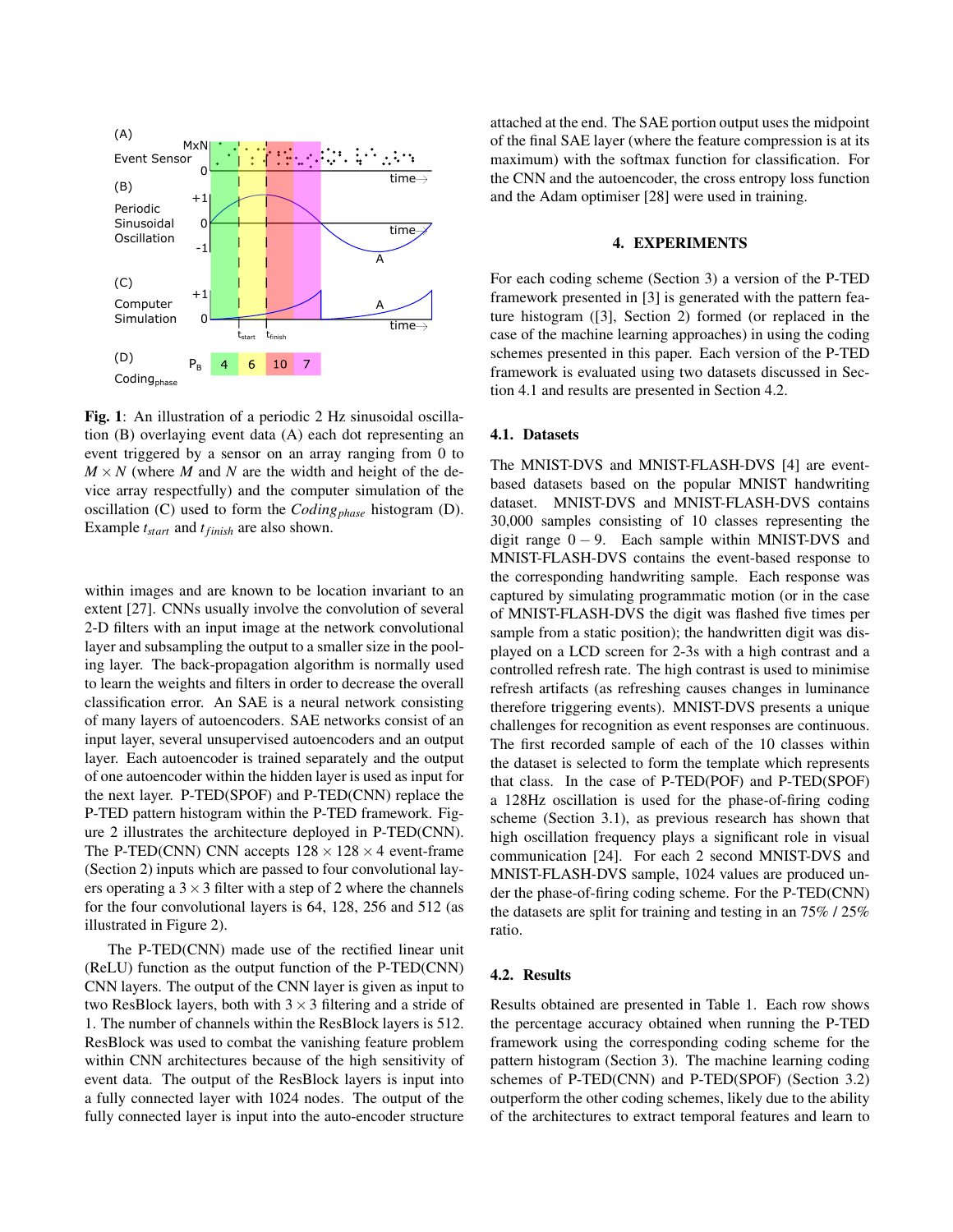

Fig. 1: An illustration of a periodic 2 Hz sinusoidal oscillation (B) overlaying event data (A) each dot representing an event triggered by a sensor on an array ranging from 0 to  $M \times N$  (where *M* and *N* are the width and height of the device array respectfully) and the computer simulation of the oscillation (C) used to form the *Codingphase* histogram (D). Example *tstart* and *tfinish* are also shown.

within images and are known to be location invariant to an extent [27]. CNNs usually involve the convolution of several 2-D filters with an input image at the network convolutional layer and subsampling the output to a smaller size in the pooling layer. The back-propagation algorithm is normally used to learn the weights and filters in order to decrease the overall classification error. An SAE is a neural network consisting of many layers of autoencoders. SAE networks consist of an input layer, several unsupervised autoencoders and an output layer. Each autoencoder is trained separately and the output of one autoencoder within the hidden layer is used as input for the next layer. P-TED(SPOF) and P-TED(CNN) replace the P-TED pattern histogram within the P-TED framework. Figure 2 illustrates the architecture deployed in P-TED(CNN). The P-TED(CNN) CNN accepts  $128 \times 128 \times 4$  event-frame (Section 2) inputs which are passed to four convolutional layers operating a  $3 \times 3$  filter with a step of 2 where the channels for the four convolutional layers is 64, 128, 256 and 512 (as illustrated in Figure 2).

The P-TED(CNN) made use of the rectified linear unit (ReLU) function as the output function of the P-TED(CNN) CNN layers. The output of the CNN layer is given as input to two ResBlock layers, both with  $3 \times 3$  filtering and a stride of 1. The number of channels within the ResBlock layers is 512. ResBlock was used to combat the vanishing feature problem within CNN architectures because of the high sensitivity of event data. The output of the ResBlock layers is input into a fully connected layer with 1024 nodes. The output of the fully connected layer is input into the auto-encoder structure attached at the end. The SAE portion output uses the midpoint of the final SAE layer (where the feature compression is at its maximum) with the softmax function for classification. For the CNN and the autoencoder, the cross entropy loss function and the Adam optimiser [28] were used in training.

#### 4. EXPERIMENTS

For each coding scheme (Section 3) a version of the P-TED framework presented in [3] is generated with the pattern feature histogram ([3], Section 2) formed (or replaced in the case of the machine learning approaches) in using the coding schemes presented in this paper. Each version of the P-TED framework is evaluated using two datasets discussed in Section 4.1 and results are presented in Section 4.2.

#### 4.1. Datasets

The MNIST-DVS and MNIST-FLASH-DVS [4] are eventbased datasets based on the popular MNIST handwriting dataset. MNIST-DVS and MNIST-FLASH-DVS contains 30,000 samples consisting of 10 classes representing the digit range  $0 - 9$ . Each sample within MNIST-DVS and MNIST-FLASH-DVS contains the event-based response to the corresponding handwriting sample. Each response was captured by simulating programmatic motion (or in the case of MNIST-FLASH-DVS the digit was flashed five times per sample from a static position); the handwritten digit was displayed on a LCD screen for 2-3s with a high contrast and a controlled refresh rate. The high contrast is used to minimise refresh artifacts (as refreshing causes changes in luminance therefore triggering events). MNIST-DVS presents a unique challenges for recognition as event responses are continuous. The first recorded sample of each of the 10 classes within the dataset is selected to form the template which represents that class. In the case of P-TED(POF) and P-TED(SPOF) a 128Hz oscillation is used for the phase-of-firing coding scheme (Section 3.1), as previous research has shown that high oscillation frequency plays a significant role in visual communication [24]. For each 2 second MNIST-DVS and MNIST-FLASH-DVS sample, 1024 values are produced under the phase-of-firing coding scheme. For the P-TED(CNN) the datasets are split for training and testing in an 75% / 25% ratio.

## 4.2. Results

Results obtained are presented in Table 1. Each row shows the percentage accuracy obtained when running the P-TED framework using the corresponding coding scheme for the pattern histogram (Section 3). The machine learning coding schemes of P-TED(CNN) and P-TED(SPOF) (Section 3.2) outperform the other coding schemes, likely due to the ability of the architectures to extract temporal features and learn to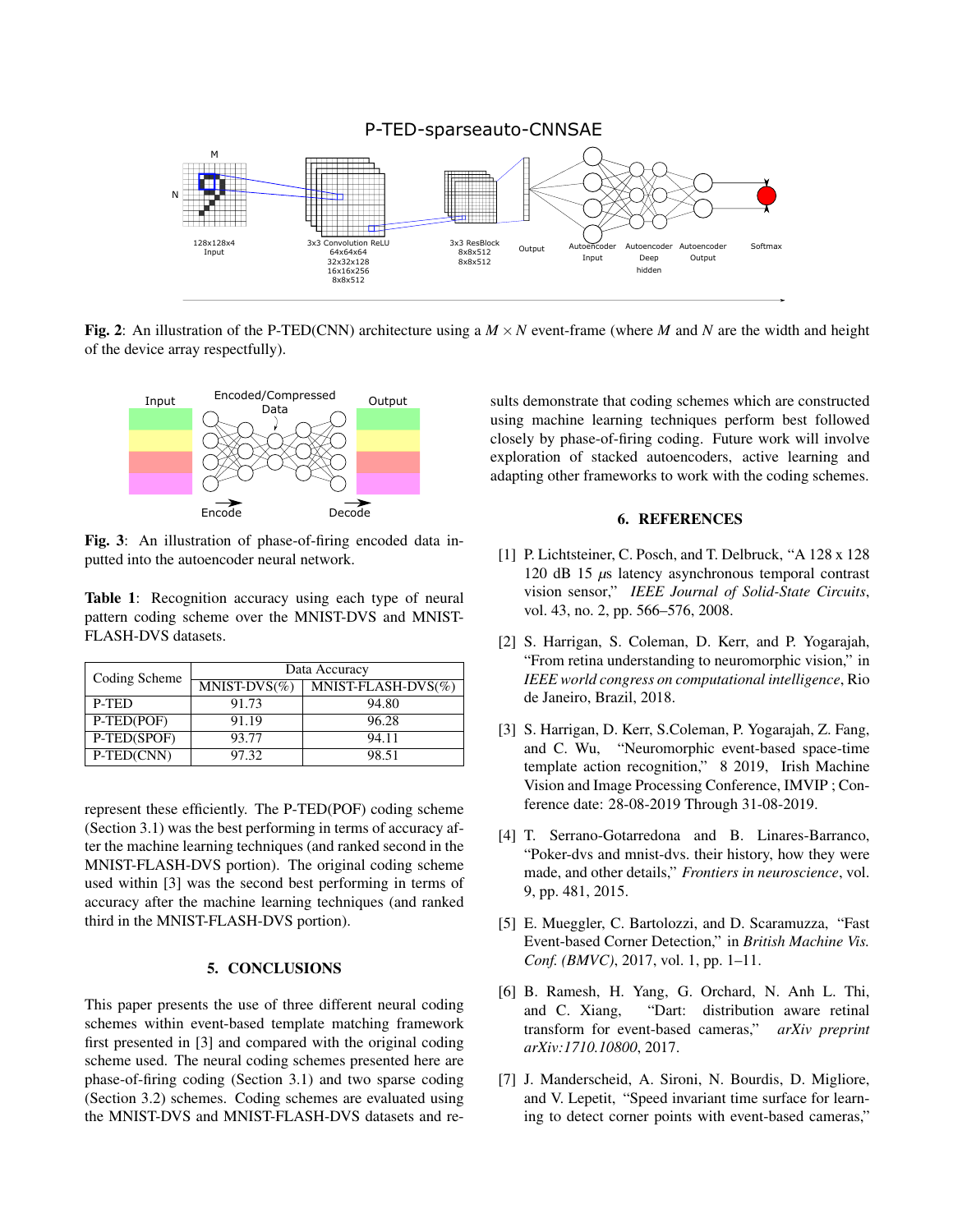

Fig. 2: An illustration of the P-TED(CNN) architecture using a  $M \times N$  event-frame (where *M* and *N* are the width and height of the device array respectfully).



Fig. 3: An illustration of phase-of-firing encoded data inputted into the autoencoder neural network.

Table 1: Recognition accuracy using each type of neural pattern coding scheme over the MNIST-DVS and MNIST-FLASH-DVS datasets.

| Coding Scheme | Data Accuracy              |                        |  |
|---------------|----------------------------|------------------------|--|
|               | $\overline{MNIST-DVS}$ (%) | $MNIST-FLASH-DVS(\% )$ |  |
| P-TED         | 91.73                      | 94.80                  |  |
| P-TED(POF)    | 91.19                      | 96.28                  |  |
| P-TED(SPOF)   | 93.77                      | 94.11                  |  |
| P-TED(CNN)    | 97.32                      | 98.51                  |  |

represent these efficiently. The P-TED(POF) coding scheme (Section 3.1) was the best performing in terms of accuracy after the machine learning techniques (and ranked second in the MNIST-FLASH-DVS portion). The original coding scheme used within [3] was the second best performing in terms of accuracy after the machine learning techniques (and ranked third in the MNIST-FLASH-DVS portion).

### 5. CONCLUSIONS

This paper presents the use of three different neural coding schemes within event-based template matching framework first presented in [3] and compared with the original coding scheme used. The neural coding schemes presented here are phase-of-firing coding (Section 3.1) and two sparse coding (Section 3.2) schemes. Coding schemes are evaluated using the MNIST-DVS and MNIST-FLASH-DVS datasets and results demonstrate that coding schemes which are constructed using machine learning techniques perform best followed closely by phase-of-firing coding. Future work will involve exploration of stacked autoencoders, active learning and adapting other frameworks to work with the coding schemes.

#### 6. REFERENCES

- [1] P. Lichtsteiner, C. Posch, and T. Delbruck, "A 128 x 128 120 dB 15 *µ*s latency asynchronous temporal contrast vision sensor," *IEEE Journal of Solid-State Circuits*, vol. 43, no. 2, pp. 566–576, 2008.
- [2] S. Harrigan, S. Coleman, D. Kerr, and P. Yogarajah, "From retina understanding to neuromorphic vision," in *IEEE world congress on computational intelligence*, Rio de Janeiro, Brazil, 2018.
- [3] S. Harrigan, D. Kerr, S.Coleman, P. Yogarajah, Z. Fang, and C. Wu, "Neuromorphic event-based space-time template action recognition," 8 2019, Irish Machine Vision and Image Processing Conference, IMVIP ; Conference date: 28-08-2019 Through 31-08-2019.
- [4] T. Serrano-Gotarredona and B. Linares-Barranco, "Poker-dvs and mnist-dvs. their history, how they were made, and other details," *Frontiers in neuroscience*, vol. 9, pp. 481, 2015.
- [5] E. Mueggler, C. Bartolozzi, and D. Scaramuzza, "Fast Event-based Corner Detection," in *British Machine Vis. Conf. (BMVC)*, 2017, vol. 1, pp. 1–11.
- [6] B. Ramesh, H. Yang, G. Orchard, N. Anh L. Thi, and C. Xiang, "Dart: distribution aware retinal transform for event-based cameras," *arXiv preprint arXiv:1710.10800*, 2017.
- [7] J. Manderscheid, A. Sironi, N. Bourdis, D. Migliore, and V. Lepetit, "Speed invariant time surface for learning to detect corner points with event-based cameras,"